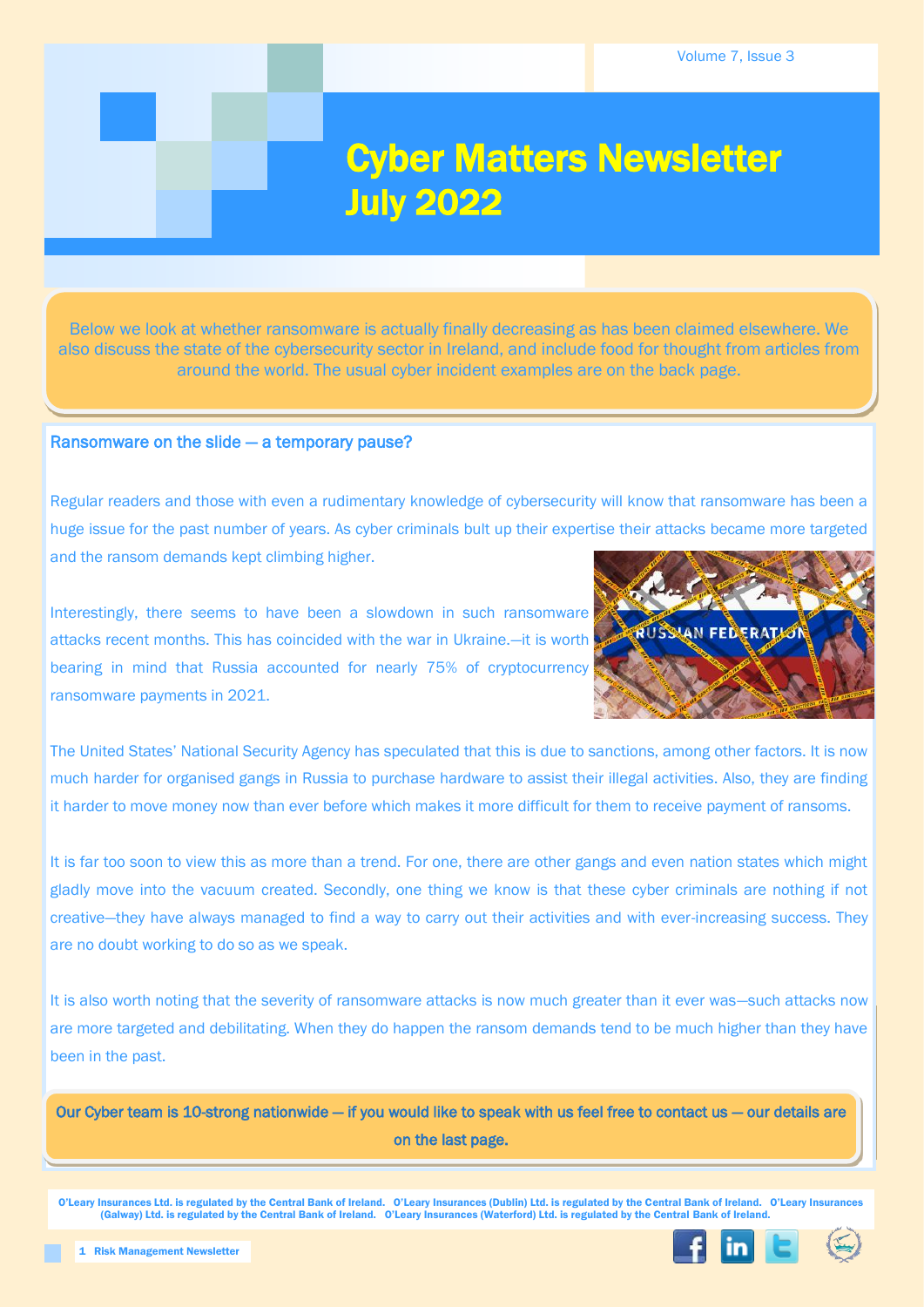# [Cyber Matters Newsletter](http://www.olearyinsurances.ie)  July 2022

Below we look at whether ransomware is actually finally decreasing as has been claimed elsewhere. We also discuss the state of the cybersecurity sector in Ireland, and include food for thought from articles from around the world. The usual cyber incident examples are on the back page.

#### Ransomware on the slide — a temporary pause?

Regular readers and those with even a rudimentary knowledge of cybersecurity will know that ransomware has been a huge issue for the past number of years. As cyber criminals bult up their expertise their attacks became more targeted and the ransom demands kept climbing higher.

Interestingly, there seems to have been a slowdown in such ransomware attacks recent months. This has coincided with the war in Ukraine.—it is worth bearing in mind that Russia accounted for nearly 75% of cryptocurrency ransomware payments in 2021.



The United States' National Security Agency has speculated that this is due to sanctions, among other factors. It is now much harder for organised gangs in Russia to purchase hardware to assist their illegal activities. Also, they are finding it harder to move money now than ever before which makes it more difficult for them to receive payment of ransoms.

It is far too soon to view this as more than a trend. For one, there are other gangs and even nation states which might gladly move into the vacuum created. Secondly, one thing we know is that these cyber criminals are nothing if not creative—they have always managed to find a way to carry out their activities and with ever-increasing success. They are no doubt working to do so as we speak.

are more targeted and debilitating. When they do happen the ransom demands tend to be much higher than they have It is also worth noting that the severity of ransomware attacks is now much greater than it ever was—such attacks now been in the past.

our Cyber team is 10-strong nationwide — if you would like to speak with us feel free to contact us — our details are on the last page.

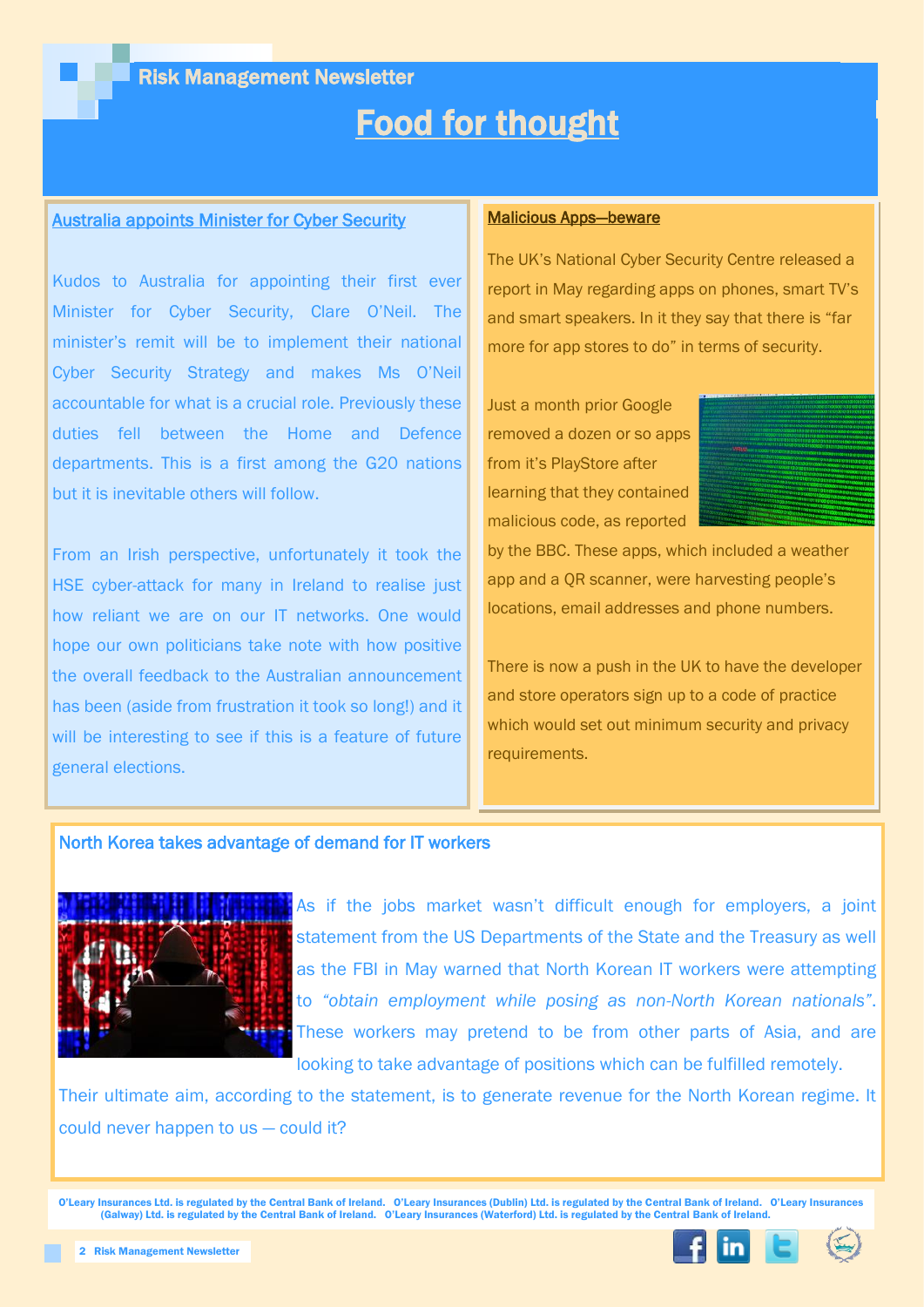# Food for thought

#### Australia appoints Minister for Cyber Security

Kudos to Australia for appointing their first ever Minister for Cyber Security, Clare O'Neil. The minister's remit will be to implement their national Cyber Security Strategy and makes Ms O'Neil accountable for what is a crucial role. Previously these duties fell between the Home and Defence departments. This is a first among the G20 nations but it is inevitable others will follow.

From an Irish perspective, unfortunately it took the HSE cyber-attack for many in Ireland to realise just how reliant we are on our IT networks. One would hope our own politicians take note with how positive the overall feedback to the Australian announcement has been (aside from frustration it took so long!) and it will be interesting to see if this is a feature of future general elections.

#### Malicious Apps—beware

The UK's National Cyber Security Centre released a report in May regarding apps on phones, smart TV's and smart speakers. In it they say that there is "far more for app stores to do" in terms of security.

Just a month prior Google removed a dozen or so apps from it's PlayStore after learning that they contained malicious code, as reported



by the BBC. These apps, which included a weather app and a QR scanner, were harvesting people's locations, email addresses and phone numbers.

There is now a push in the UK to have the developer and store operators sign up to a code of practice which would set out minimum security and privacy requirements.

### North Korea takes advantage of demand for IT workers



As if the jobs market wasn't difficult enough for employers, a joint statement from the US Departments of the State and the Treasury as well as the FBI in May warned that North Korean IT workers were attempting to *"obtain employment while posing as non-North Korean nationals"*. These workers may pretend to be from other parts of Asia, and are looking to take advantage of positions which can be fulfilled remotely.

Their ultimate aim, according to the statement, is to generate revenue for the North Korean regime. It could never happen to us — could it?

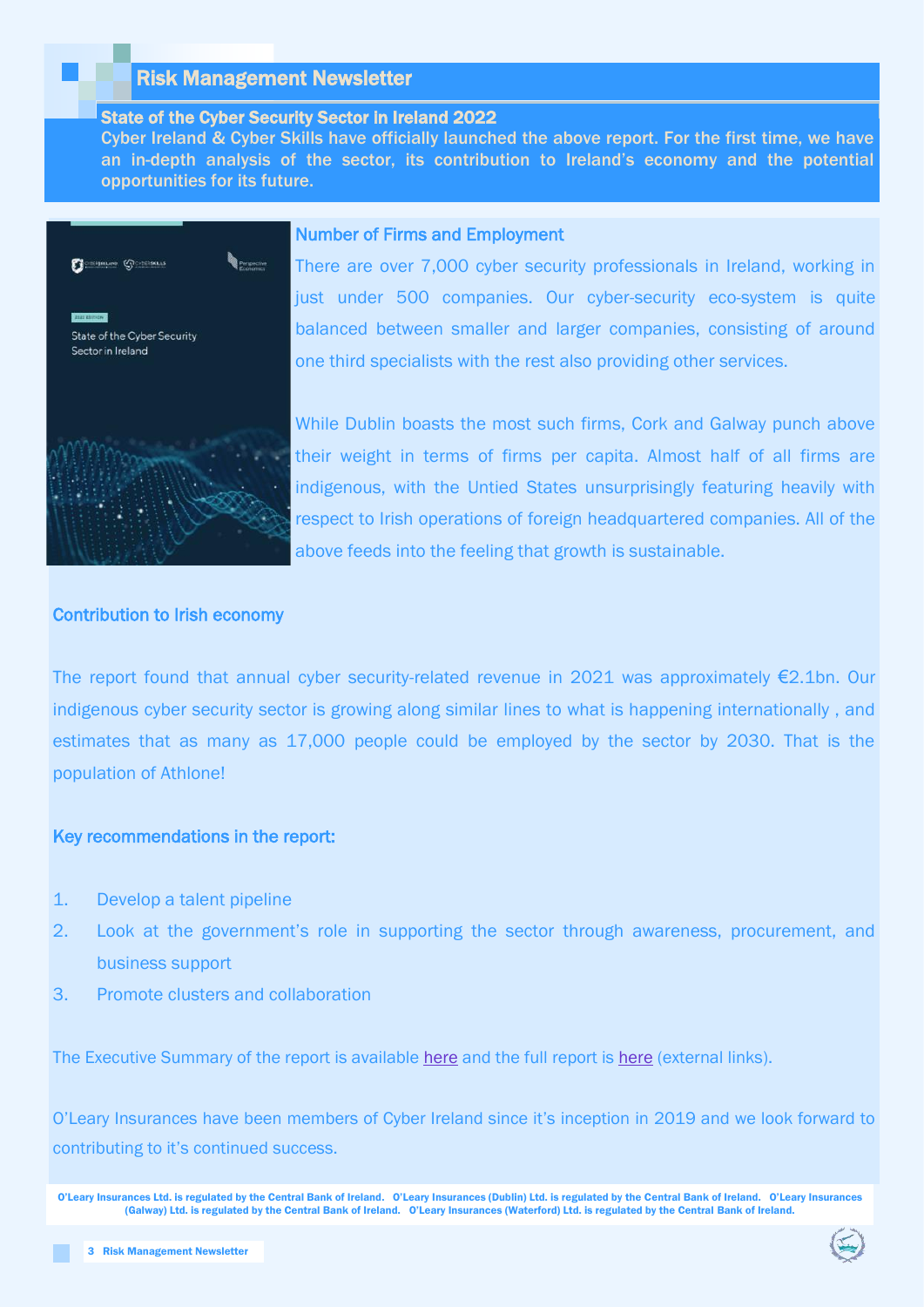# Risk Management Newsletter

## State of the Cyber Security Sector in Ireland 2022

Cyber Ireland & Cyber Skills have officially launched the above report. For the first time, we have an in-depth analysis of the sector, its contribution to Ireland's economy and the potential opportunities for its future.



### Number of Firms and Employment

There are over 7,000 cyber security professionals in Ireland, working in just under 500 companies. Our cyber-security eco-system is quite balanced between smaller and larger companies, consisting of around one third specialists with the rest also providing other services.

While Dublin boasts the most such firms, Cork and Galway punch above their weight in terms of firms per capita. Almost half of all firms are indigenous, with the Untied States unsurprisingly featuring heavily with respect to Irish operations of foreign headquartered companies. All of the above feeds into the feeling that growth is sustainable.

#### Contribution to Irish economy

The report found that annual cyber security-related revenue in 2021 was approximately €2.1bn. Our indigenous cyber security sector is growing along similar lines to what is happening internationally , and estimates that as many as 17,000 people could be employed by the sector by 2030. That is the population of Athlone!

#### Key recommendations in the report:

- 1. Develop a talent pipeline
- 2. Look at the government's role in supporting the sector through awareness, procurement, and business support
- 3. Promote clusters and collaboration

The Executive Summary of the report is available [here](https://cyberireland.ie/wp-content/uploads/2022/05/State-of-the-Cyber-Security-Sector-in-Ireland-2022-Executive-Summary.pdf) and the full report is [here](https://cyberireland.ie/wp-content/uploads/2022/05/State-of-the-Cyber-Security-Sector-in-Ireland-2022-Report.pdf) (external links).

O'Leary Insurances have been members of Cyber Ireland since it's inception in 2019 and we look forward to contributing to it's continued success.